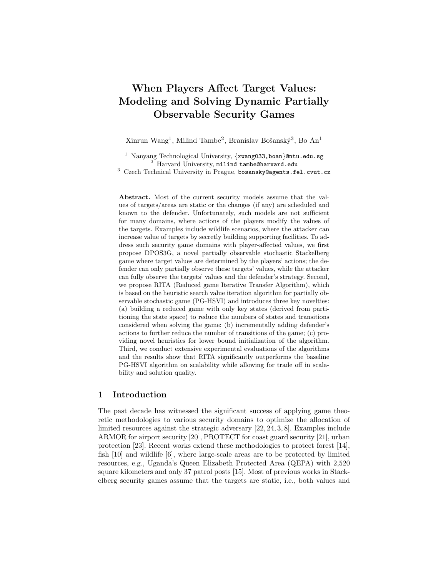# When Players Affect Target Values: Modeling and Solving Dynamic Partially Observable Security Games

Xinrun Wang<sup>1</sup>, Milind Tambe<sup>2</sup>, Branislav Bošanský<sup>3</sup>, Bo An<sup>1</sup>

<sup>1</sup> Nanyang Technological University,  $\{xwang033,boan\}$ @ntu.edu.sg <sup>2</sup> Harvard University, milind\_tambe@harvard.edu  $3$  Czech Technical University in Prague, bosansky@agents.fel.cvut.cz

Abstract. Most of the current security models assume that the values of targets/areas are static or the changes (if any) are scheduled and known to the defender. Unfortunately, such models are not sufficient for many domains, where actions of the players modify the values of the targets. Examples include wildlife scenarios, where the attacker can increase value of targets by secretly building supporting facilities. To address such security game domains with player-affected values, we first propose DPOS3G, a novel partially observable stochastic Stackelberg game where target values are determined by the players' actions; the defender can only partially observe these targets' values, while the attacker can fully observe the targets' values and the defender's strategy. Second, we propose RITA (Reduced game Iterative Transfer Algorithm), which is based on the heuristic search value iteration algorithm for partially observable stochastic game (PG-HSVI) and introduces three key novelties: (a) building a reduced game with only key states (derived from partitioning the state space) to reduce the numbers of states and transitions considered when solving the game; (b) incrementally adding defender's actions to further reduce the number of transitions of the game; (c) providing novel heuristics for lower bound initialization of the algorithm. Third, we conduct extensive experimental evaluations of the algorithms and the results show that RITA significantly outperforms the baseline PG-HSVI algorithm on scalability while allowing for trade off in scalability and solution quality.

# 1 Introduction

The past decade has witnessed the significant success of applying game theoretic methodologies to various security domains to optimize the allocation of limited resources against the strategic adversary [22, 24, 3, 8]. Examples include ARMOR for airport security [20], PROTECT for coast guard security [21], urban protection [23]. Recent works extend these methodologies to protect forest [14], fish [10] and wildlife [6], where large-scale areas are to be protected by limited resources, e.g., Uganda's Queen Elizabeth Protected Area (QEPA) with 2,520 square kilometers and only 37 patrol posts [15]. Most of previous works in Stackelberg security games assume that the targets are static, i.e., both values and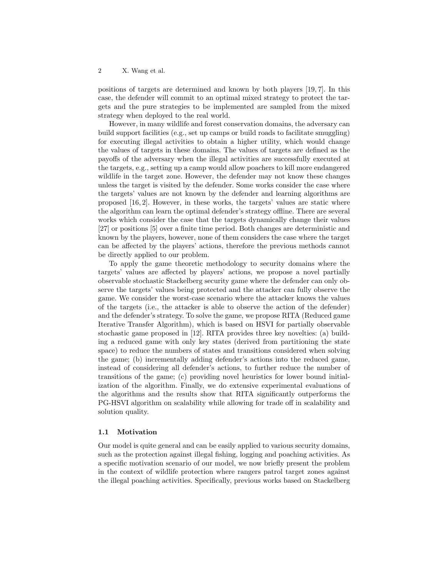positions of targets are determined and known by both players [19, 7]. In this case, the defender will commit to an optimal mixed strategy to protect the targets and the pure strategies to be implemented are sampled from the mixed strategy when deployed to the real world.

However, in many wildlife and forest conservation domains, the adversary can build support facilities (e.g., set up camps or build roads to facilitate smuggling) for executing illegal activities to obtain a higher utility, which would change the values of targets in these domains. The values of targets are defined as the payoffs of the adversary when the illegal activities are successfully executed at the targets, e.g., setting up a camp would allow poachers to kill more endangered wildlife in the target zone. However, the defender may not know these changes unless the target is visited by the defender. Some works consider the case where the targets' values are not known by the defender and learning algorithms are proposed [16, 2]. However, in these works, the targets' values are static where the algorithm can learn the optimal defender's strategy offline. There are several works which consider the case that the targets dynamically change their values [27] or positions [5] over a finite time period. Both changes are deterministic and known by the players, however, none of them considers the case where the target can be affected by the players' actions, therefore the previous methods cannot be directly applied to our problem.

To apply the game theoretic methodology to security domains where the targets' values are affected by players' actions, we propose a novel partially observable stochastic Stackelberg security game where the defender can only observe the targets' values being protected and the attacker can fully observe the game. We consider the worst-case scenario where the attacker knows the values of the targets (i.e., the attacker is able to observe the action of the defender) and the defender's strategy. To solve the game, we propose RITA (Reduced game Iterative Transfer Algorithm), which is based on HSVI for partially observable stochastic game proposed in [12]. RITA provides three key novelties: (a) building a reduced game with only key states (derived from partitioning the state space) to reduce the numbers of states and transitions considered when solving the game; (b) incrementally adding defender's actions into the reduced game, instead of considering all defender's actions, to further reduce the number of transitions of the game; (c) providing novel heuristics for lower bound initialization of the algorithm. Finally, we do extensive experimental evaluations of the algorithms and the results show that RITA significantly outperforms the PG-HSVI algorithm on scalability while allowing for trade off in scalability and solution quality.

## 1.1 Motivation

Our model is quite general and can be easily applied to various security domains, such as the protection against illegal fishing, logging and poaching activities. As a specific motivation scenario of our model, we now briefly present the problem in the context of wildlife protection where rangers patrol target zones against the illegal poaching activities. Specifically, previous works based on Stackelberg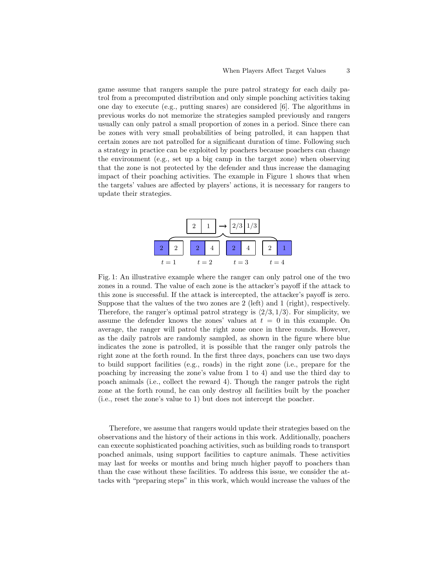game assume that rangers sample the pure patrol strategy for each daily patrol from a precomputed distribution and only simple poaching activities taking one day to execute (e.g., putting snares) are considered [6]. The algorithms in previous works do not memorize the strategies sampled previously and rangers usually can only patrol a small proportion of zones in a period. Since there can be zones with very small probabilities of being patrolled, it can happen that certain zones are not patrolled for a significant duration of time. Following such a strategy in practice can be exploited by poachers because poachers can change the environment (e.g., set up a big camp in the target zone) when observing that the zone is not protected by the defender and thus increase the damaging impact of their poaching activities. The example in Figure 1 shows that when the targets' values are affected by players' actions, it is necessary for rangers to update their strategies.



Fig. 1: An illustrative example where the ranger can only patrol one of the two zones in a round. The value of each zone is the attacker's payoff if the attack to this zone is successful. If the attack is intercepted, the attacker's payoff is zero. Suppose that the values of the two zones are 2 (left) and 1 (right), respectively. Therefore, the ranger's optimal patrol strategy is  $\langle 2/3, 1/3 \rangle$ . For simplicity, we assume the defender knows the zones' values at  $t = 0$  in this example. On average, the ranger will patrol the right zone once in three rounds. However, as the daily patrols are randomly sampled, as shown in the figure where blue indicates the zone is patrolled, it is possible that the ranger only patrols the right zone at the forth round. In the first three days, poachers can use two days to build support facilities (e.g., roads) in the right zone (i.e., prepare for the poaching by increasing the zone's value from 1 to 4) and use the third day to poach animals (i.e., collect the reward 4). Though the ranger patrols the right zone at the forth round, he can only destroy all facilities built by the poacher (i.e., reset the zone's value to 1) but does not intercept the poacher.

Therefore, we assume that rangers would update their strategies based on the observations and the history of their actions in this work. Additionally, poachers can execute sophisticated poaching activities, such as building roads to transport poached animals, using support facilities to capture animals. These activities may last for weeks or months and bring much higher payoff to poachers than than the case without these facilities. To address this issue, we consider the attacks with "preparing steps" in this work, which would increase the values of the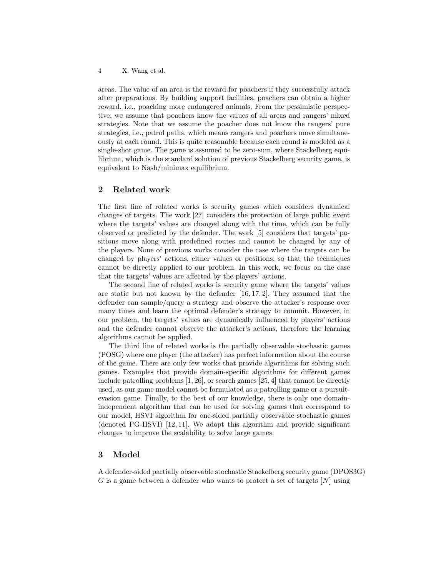areas. The value of an area is the reward for poachers if they successfully attack after preparations. By building support facilities, poachers can obtain a higher reward, i.e., poaching more endangered animals. From the pessimistic perspective, we assume that poachers know the values of all areas and rangers' mixed strategies. Note that we assume the poacher does not know the rangers' pure strategies, i.e., patrol paths, which means rangers and poachers move simultaneously at each round. This is quite reasonable because each round is modeled as a single-shot game. The game is assumed to be zero-sum, where Stackelberg equilibrium, which is the standard solution of previous Stackelberg security game, is equivalent to Nash/minimax equilibrium.

# 2 Related work

The first line of related works is security games which considers dynamical changes of targets. The work [27] considers the protection of large public event where the targets' values are changed along with the time, which can be fully observed or predicted by the defender. The work [5] considers that targets' positions move along with predefined routes and cannot be changed by any of the players. None of previous works consider the case where the targets can be changed by players' actions, either values or positions, so that the techniques cannot be directly applied to our problem. In this work, we focus on the case that the targets' values are affected by the players' actions.

The second line of related works is security game where the targets' values are static but not known by the defender  $[16, 17, 2]$ . They assumed that the defender can sample/query a strategy and observe the attacker's response over many times and learn the optimal defender's strategy to commit. However, in our problem, the targets' values are dynamically influenced by players' actions and the defender cannot observe the attacker's actions, therefore the learning algorithms cannot be applied.

The third line of related works is the partially observable stochastic games (POSG) where one player (the attacker) has perfect information about the course of the game. There are only few works that provide algorithms for solving such games. Examples that provide domain-specific algorithms for different games include patrolling problems [1, 26], or search games [25, 4] that cannot be directly used, as our game model cannot be formulated as a patrolling game or a pursuitevasion game. Finally, to the best of our knowledge, there is only one domainindependent algorithm that can be used for solving games that correspond to our model, HSVI algorithm for one-sided partially observable stochastic games (denoted PG-HSVI) [12, 11]. We adopt this algorithm and provide significant changes to improve the scalability to solve large games.

# 3 Model

A defender-sided partially observable stochastic Stackelberg security game (DPOS3G) G is a game between a defender who wants to protect a set of targets  $[N]$  using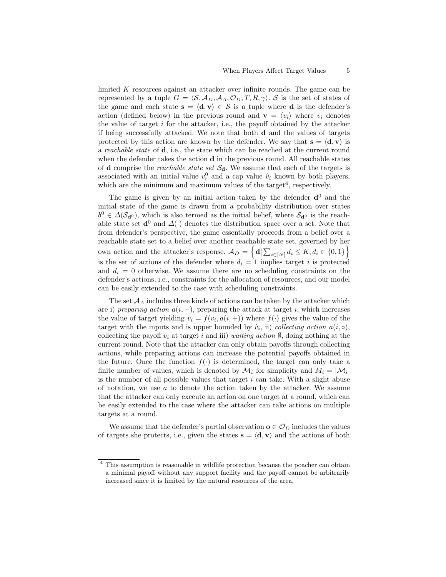limited K resources against an attacker over infinite rounds. The game can be represented by a tuple  $G = \langle \mathcal{S}, \mathcal{A}_D, \mathcal{A}_A, \mathcal{O}_D, T, R, \gamma \rangle$ . S is the set of states of the game and each state  $s = \langle d, v \rangle \in S$  is a tuple where d is the defender's action (defined below) in the previous round and  $\mathbf{v} = \langle v_i \rangle$  where  $v_i$  denotes the value of target  $i$  for the attacker, i.e., the payoff obtained by the attacker if being successfully attacked. We note that both d and the values of targets protected by this action are known by the defender. We say that  $s = \langle d, v \rangle$  is a reachable state of d, i.e., the state which can be reached at the current round when the defender takes the action **d** in the previous round. All reachable states of **d** comprise the *reachable state set*  $S_d$ . We assume that each of the targets is associated with an initial value  $v_i^0$  and a cap value  $\hat{v}_i$  known by both players, which are the minimum and maximum values of the target<sup>4</sup>, respectively.

The game is given by an initial action taken by the defender  $\mathbf{d}^0$  and the initial state of the game is drawn from a probability distribution over states  $b^0 \in \Delta(\mathcal{S}_{d^0})$ , which is also termed as the initial belief, where  $\mathcal{S}_{d^0}$  is the reachable state set  $\mathbf{d}^0$  and  $\Delta(\cdot)$  denotes the distribution space over a set. Note that from defender's perspective, the game essentially proceeds from a belief over a reachable state set to a belief over another reachable state set, governed by her own action and the attacker's response.  $\mathcal{A}_D = \{ \mathbf{d} | \sum_{i \in [N]} d_i \leq K, d_i \in \{0, 1\} \}$ is the set of actions of the defender where  $d_i = 1$  implies target i is protected and  $d_i = 0$  otherwise. We assume there are no scheduling constraints on the defender's actions, i.e., constraints for the allocation of resources, and our model can be easily extended to the case with scheduling constraints.

The set  $A_A$  includes three kinds of actions can be taken by the attacker which are i) preparing action  $a(i, +)$ , preparing the attack at target i, which increases the value of target yielding  $v_i = f(v_i, a(i, +))$  where  $f(\cdot)$  gives the value of the target with the inputs and is upper bounded by  $\hat{v}_i$ , ii) collecting action  $a(i, \circ)$ , collecting the payoff  $v_i$  at target i and iii) waiting action  $\emptyset$ , doing nothing at the current round. Note that the attacker can only obtain payoffs through collecting actions, while preparing actions can increase the potential payoffs obtained in the future. Once the function  $f(.)$  is determined, the target can only take a finite number of values, which is denoted by  $\mathcal{M}_i$  for simplicity and  $M_i = |\mathcal{M}_i|$ is the number of all possible values that target  $i$  can take. With a slight abuse of notation, we use  $a$  to denote the action taken by the attacker. We assume that the attacker can only execute an action on one target at a round, which can be easily extended to the case where the attacker can take actions on multiple targets at a round.

We assume that the defender's partial observation  $o \in \mathcal{O}_D$  includes the values of targets she protects, i.e., given the states  $s = \langle d, v \rangle$  and the actions of both

<sup>4</sup> This assumption is reasonable in wildlife protection because the poacher can obtain a minimal payoff without any support facility and the payoff cannot be arbitrarily increased since it is limited by the natural resources of the area.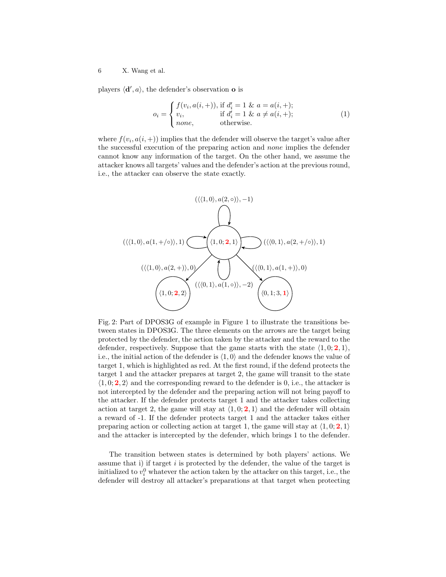players  $\langle \mathbf{d}', a \rangle$ , the defender's observation **o** is

$$
o_i = \begin{cases} f(v_i, a(i, +)), \text{ if } d'_i = 1 \& a = a(i, +); \\ v_i, & \text{ if } d'_i = 1 \& a \neq a(i, +); \\ none, & \text{ otherwise.} \end{cases}
$$
 (1)

where  $f(v_i, a(i, +))$  implies that the defender will observe the target's value after the successful execution of the preparing action and none implies the defender cannot know any information of the target. On the other hand, we assume the attacker knows all targets' values and the defender's action at the previous round, i.e., the attacker can observe the state exactly.



Fig. 2: Part of DPOS3G of example in Figure 1 to illustrate the transitions between states in DPOS3G. The three elements on the arrows are the target being protected by the defender, the action taken by the attacker and the reward to the defender, respectively. Suppose that the game starts with the state  $\langle 1, 0; 2, 1 \rangle$ , i.e., the initial action of the defender is  $\langle 1, 0 \rangle$  and the defender knows the value of target 1, which is highlighted as red. At the first round, if the defend protects the target 1 and the attacker prepares at target 2, the game will transit to the state  $\langle 1, 0; 2, 2 \rangle$  and the corresponding reward to the defender is 0, i.e., the attacker is not intercepted by the defender and the preparing action will not bring payoff to the attacker. If the defender protects target 1 and the attacker takes collecting action at target 2, the game will stay at  $\langle 1, 0; 2, 1 \rangle$  and the defender will obtain a reward of -1. If the defender protects target 1 and the attacker takes either preparing action or collecting action at target 1, the game will stay at  $\langle 1, 0; \mathbf{2}, 1 \rangle$ and the attacker is intercepted by the defender, which brings 1 to the defender.

The transition between states is determined by both players' actions. We assume that i) if target is protected by the defender, the value of the target is initialized to  $v_i^0$  whatever the action taken by the attacker on this target, i.e., the defender will destroy all attacker's preparations at that target when protecting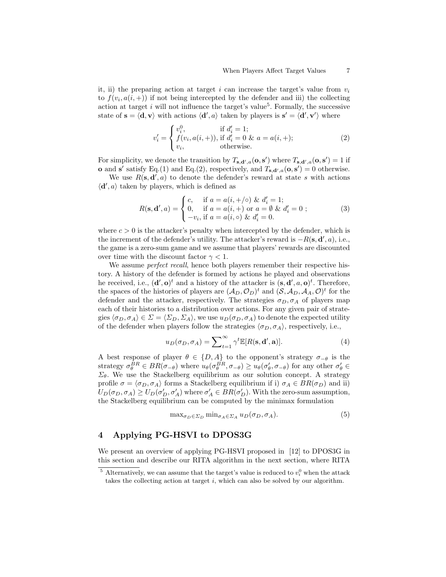it, ii) the preparing action at target i can increase the target's value from  $v_i$ to  $f(v_i, a(i, +))$  if not being intercepted by the defender and iii) the collecting action at target  $i$  will not influence the target's value<sup>5</sup>. Formally, the successive state of  $\mathbf{s} = \langle \mathbf{d}, \mathbf{v} \rangle$  with actions  $\langle \mathbf{d}', a \rangle$  taken by players is  $\mathbf{s}' = \langle \mathbf{d}', \mathbf{v}' \rangle$  where

$$
v'_{i} = \begin{cases} v_{i}^{0}, & \text{if } d'_{i} = 1; \\ f(v_{i}, a(i, +)), \text{if } d'_{i} = 0 \& a = a(i, +); \\ v_{i}, & \text{otherwise.} \end{cases}
$$
 (2)

For simplicity, we denote the transition by  $T_{s,d',a}(\mathbf{o}, s')$  where  $T_{s,d',a}(\mathbf{o}, s') = 1$  if **o** and **s'** satisfy Eq.(1) and Eq.(2), respectively, and  $T_{s,d',a}(\mathbf{o}, \mathbf{s}') = 0$  otherwise.

We use  $R(s, d', a)$  to denote the defender's reward at state s with actions  $\langle \mathbf{d}', a \rangle$  taken by players, which is defined as

$$
R(\mathbf{s}, \mathbf{d}', a) = \begin{cases} c, & \text{if } a = a(i, +/\circ) \& d'_i = 1; \\ 0, & \text{if } a = a(i, +) \text{ or } a = \emptyset \& d'_i = 0; \\ -v_i, & \text{if } a = a(i, \circ) \& d'_i = 0. \end{cases}
$$
(3)

where  $c > 0$  is the attacker's penalty when intercepted by the defender, which is the increment of the defender's utility. The attacker's reward is  $-R(s, d', a)$ , i.e., the game is a zero-sum game and we assume that players' rewards are discounted over time with the discount factor  $\gamma < 1$ .

We assume *perfect recall*, hence both players remember their respective history. A history of the defender is formed by actions he played and observations he received, i.e.,  $(\mathbf{d}', \mathbf{o})^t$  and a history of the attacker is  $(\mathbf{s}, \mathbf{d}', a, \mathbf{o})^t$ . Therefore, the spaces of the histories of players are  $(\mathcal{A}_D, \mathcal{O}_D)^t$  and  $(\mathcal{S}, \mathcal{A}_D, \mathcal{A}_A, \mathcal{O})^t$  for the defender and the attacker, respectively. The strategies  $\sigma_D, \sigma_A$  of players map each of their histories to a distribution over actions. For any given pair of strategies  $\langle \sigma_D, \sigma_A \rangle \in \Sigma = \langle \Sigma_D, \Sigma_A \rangle$ , we use  $u_D(\sigma_D, \sigma_A)$  to denote the expected utility of the defender when players follow the strategies  $\langle \sigma_D, \sigma_A \rangle$ , respectively, i.e.,

$$
u_D(\sigma_D, \sigma_A) = \sum_{t=1}^{\infty} \gamma^t \mathbb{E}[R(\mathbf{s}, \mathbf{d}', \mathbf{a})]. \tag{4}
$$

A best response of player  $\theta \in \{D, A\}$  to the opponent's strategy  $\sigma_{-\theta}$  is the strategy  $\sigma_{\theta}^{BR} \in BR(\sigma_{-\theta})$  where  $u_{\theta}(\sigma_{\theta}^{BR}, \sigma_{-\theta}) \geq u_{\theta}(\sigma_{\theta}', \sigma_{-\theta})$  for any other  $\sigma_{\theta}' \in$  $\Sigma_{\theta}$ . We use the Stackelberg equilibrium as our solution concept. A strategy profile  $\sigma = \langle \sigma_D, \sigma_A \rangle$  forms a Stackelberg equilibrium if i)  $\sigma_A \in BR(\sigma_D)$  and ii)  $U_D(\sigma_D, \sigma_A) \ge U_D(\sigma_D', \sigma_A')$  where  $\sigma_A' \in BR(\sigma_D')$ . With the zero-sum assumption, the Stackelberg equilibrium can be computed by the minimax formulation

$$
\max_{\sigma_D \in \Sigma_D} \min_{\sigma_A \in \Sigma_A} u_D(\sigma_D, \sigma_A). \tag{5}
$$

# 4 Applying PG-HSVI to DPOS3G

We present an overview of applying PG-HSVI proposed in [12] to DPOS3G in this section and describe our RITA algorithm in the next section, where RITA

<sup>&</sup>lt;sup>5</sup> Alternatively, we can assume that the target's value is reduced to  $v_i^0$  when the attack takes the collecting action at target  $i$ , which can also be solved by our algorithm.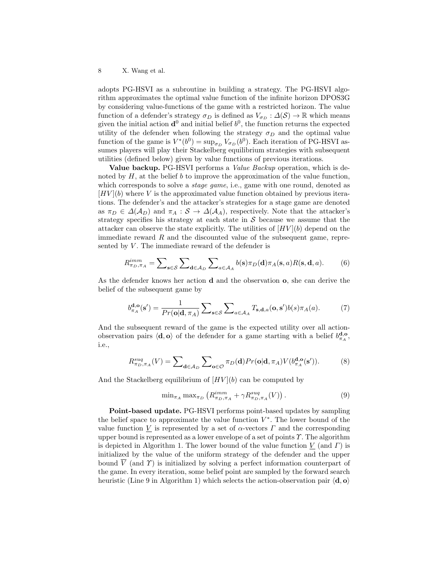adopts PG-HSVI as a subroutine in building a strategy. The PG-HSVI algorithm approximates the optimal value function of the infinite horizon DPOS3G by considering value-functions of the game with a restricted horizon. The value function of a defender's strategy  $\sigma_D$  is defined as  $V_{\sigma_D} : \Delta(S) \to \mathbb{R}$  which means given the initial action  $\mathbf{d}^0$  and initial belief  $b^0$ , the function returns the expected utility of the defender when following the strategy  $\sigma_D$  and the optimal value function of the game is  $V^*(b^0) = \sup_{\sigma_D} V_{\sigma_D}(b^0)$ . Each iteration of PG-HSVI assumes players will play their Stackelberg equilibrium strategies with subsequent utilities (defined below) given by value functions of previous iterations.

Value backup. PG-HSVI performs a Value Backup operation, which is denoted by  $H$ , at the belief b to improve the approximation of the value function, which corresponds to solve a *stage game*, i.e., game with one round, denoted as  $[HV](b)$  where V is the approximated value function obtained by previous iterations. The defender's and the attacker's strategies for a stage game are denoted as  $\pi_D \in \Delta(\mathcal{A}_D)$  and  $\pi_A : \mathcal{S} \to \Delta(\mathcal{A}_A)$ , respectively. Note that the attacker's strategy specifies his strategy at each state in  $S$  because we assume that the attacker can observe the state explicitly. The utilities of  $[HV](b)$  depend on the immediate reward  $R$  and the discounted value of the subsequent game, represented by  $V$ . The immediate reward of the defender is

$$
R_{\pi_D,\pi_A}^{imm} = \sum_{\mathbf{s}\in\mathcal{S}} \sum_{\mathbf{d}\in\mathcal{A}_D} \sum_{a\in\mathcal{A}_A} b(\mathbf{s}) \pi_D(\mathbf{d}) \pi_A(\mathbf{s},a) R(\mathbf{s},\mathbf{d},a). \tag{6}
$$

As the defender knows her action d and the observation o, she can derive the belief of the subsequent game by

$$
b_{\pi_A}^{\mathbf{d},\mathbf{o}}(\mathbf{s}') = \frac{1}{Pr(\mathbf{o}|\mathbf{d},\pi_A)} \sum_{\mathbf{s}\in\mathcal{S}} \sum_{a\in\mathcal{A}_A} T_{\mathbf{s},\mathbf{d},a}(\mathbf{o},\mathbf{s}')b(s)\pi_A(a). \tag{7}
$$

And the subsequent reward of the game is the expected utility over all actionobservation pairs  $\langle \mathbf{d}, \mathbf{o} \rangle$  of the defender for a game starting with a belief  $b_{\pi_A}^{\mathbf{d}, \mathbf{o}}$ , i.e.,

$$
R_{\pi_D,\pi_A}^{sug}(V) = \sum_{\mathbf{d}\in\mathcal{A}_D} \sum_{\mathbf{o}\in\mathcal{O}} \pi_D(\mathbf{d}) Pr(\mathbf{o}|\mathbf{d}, \pi_A) V(b_{\pi_A}^{\mathbf{d},\mathbf{o}}(\mathbf{s}')).
$$
 (8)

And the Stackelberg equilibrium of  $[HV](b)$  can be computed by

$$
\min_{\pi_A} \max_{\pi_D} \left( R_{\pi_D, \pi_A}^{imm} + \gamma R_{\pi_D, \pi_A}^{sug}(V) \right). \tag{9}
$$

Point-based update. PG-HSVI performs point-based updates by sampling the belief space to approximate the value function  $V^*$ . The lower bound of the value function  $V$  is represented by a set of  $\alpha$ -vectors  $\Gamma$  and the corresponding upper bound is represented as a lower envelope of a set of points  $\Upsilon$ . The algorithm is depicted in Algorithm 1. The lower bound of the value function  $V$  (and  $\Gamma$ ) is initialized by the value of the uniform strategy of the defender and the upper bound  $\overline{V}$  (and  $\hat{T}$ ) is initialized by solving a perfect information counterpart of the game. In every iteration, some belief point are sampled by the forward search heuristic (Line 9 in Algorithm 1) which selects the action-observation pair  $\langle d, o \rangle$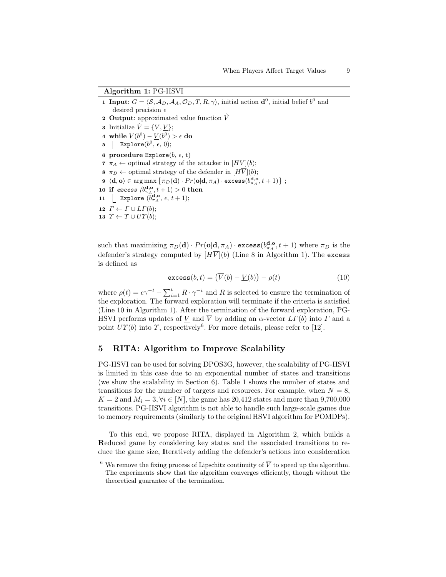# Algorithm 1: PG-HSVI

**1 Input:**  $G = \langle \mathcal{S}, \mathcal{A}_D, \mathcal{A}_A, \mathcal{O}_D, T, R, \gamma \rangle$ , initial action  $\mathbf{d}^0$ , initial belief  $b^0$  and desired precision  $\epsilon$ 2 Output: approximated value function  $\hat{V}$ **3** Initialize  $\hat{V} = {\overline{V}, \underline{V}};$ 4 while  $\overline{V}(b^0)-\underline{V}(b^0)>\epsilon$  do  $\quad \, \mathsf{s} \quad | \quad \mathtt{Explore}(b^0, \, \epsilon, \, 0);$ 6 procedure  $Explore(b, \epsilon, t)$ 7  $\pi_A \leftarrow$  optimal strategy of the attacker in  $[HV](b)$ ; 8  $\pi_D \leftarrow$  optimal strategy of the defender in  $[H\overline{V}](b)$ ;  $9 \langle \mathbf{d}, \mathbf{o} \rangle \in \arg \max \left\{ \pi_D(\mathbf{d}) \cdot Pr(\mathbf{o}|\mathbf{d}, \pi_A) \cdot \text{excess}(b^{\mathbf{d}, \mathbf{o}}_{\pi_A}, t+1) \right\}$ ; 10 if excess  $(b_{\pi_A}^{\bf d,o},t+1)>0$  then 11  $\left\lfloor \right.$  Explore  $(b_{\pi_A}^{\mathbf{d},\mathbf{o}},\,\epsilon,\,t+1);$ 12  $\Gamma \leftarrow \Gamma \cup LT(b);$ 13  $\Upsilon \leftarrow \Upsilon \cup \Upsilon(T(b));$ 

such that maximizing  $\pi_D(\mathbf{d})\cdot Pr(\mathbf{o}|\mathbf{d}, \pi_A)\cdot\textbf{excess}(b_{\pi_A}^{\mathbf{d},\mathbf{o}}, t+1)$  where  $\pi_D$  is the defender's strategy computed by  $[H\overline{V}](b)$  (Line 8 in Algorithm 1). The excess is defined as

$$
\text{excess}(b, t) = (\overline{V}(b) - \underline{V}(b)) - \rho(t) \tag{10}
$$

where  $\rho(t) = \epsilon \gamma^{-t} - \sum_{i=1}^t R \cdot \gamma^{-i}$  and R is selected to ensure the termination of the exploration. The forward exploration will terminate if the criteria is satisfied (Line 10 in Algorithm 1). After the termination of the forward exploration, PG-HSVI performs updates of V and  $\overline{V}$  by adding an  $\alpha$ -vector  $LT(b)$  into  $\Gamma$  and a point  $UT(b)$  into  $\Upsilon$ , respectively<sup>6</sup>. For more details, please refer to [12].

# 5 RITA: Algorithm to Improve Scalability

PG-HSVI can be used for solving DPOS3G, however, the scalability of PG-HSVI is limited in this case due to an exponential number of states and transitions (we show the scalability in Section 6). Table 1 shows the number of states and transitions for the number of targets and resources. For example, when  $N = 8$ ,  $K = 2$  and  $M_i = 3, \forall i \in [N]$ , the game has 20,412 states and more than 9,700,000 transitions. PG-HSVI algorithm is not able to handle such large-scale games due to memory requirements (similarly to the original HSVI algorithm for POMDPs).

To this end, we propose RITA, displayed in Algorithm 2, which builds a Reduced game by considering key states and the associated transitions to reduce the game size, Iteratively adding the defender's actions into consideration

<sup>&</sup>lt;sup>6</sup> We remove the fixing process of Lipschitz continuity of  $\overline{V}$  to speed up the algorithm. The experiments show that the algorithm converges efficiently, though without the theoretical guarantee of the termination.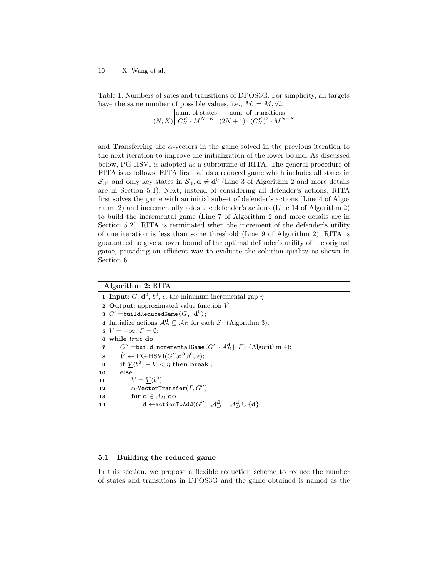Table 1: Numbers of sates and transitions of DPOS3G. For simplicity, all targets have the same number of possible values, i.e.,  $M_i = M, \forall i$ .

| num. of states | num, of transitions                                                             |
|----------------|---------------------------------------------------------------------------------|
|                | $\overline{(N,K)}$ $C_N^K \cdot M^{N-K}$ $(2N+1) \cdot (C_N^K)^2 \cdot M^{N-K}$ |

and Transferring the  $\alpha$ -vectors in the game solved in the previous iteration to the next iteration to improve the initialization of the lower bound. As discussed below, PG-HSVI is adopted as a subroutine of RITA. The general procedure of RITA is as follows. RITA first builds a reduced game which includes all states in  $\mathcal{S}_{d^0}$  and only key states in  $\mathcal{S}_d$ ,  $d \neq d^0$  (Line 3 of Algorithm 2 and more details are in Section 5.1). Next, instead of considering all defender's actions, RITA first solves the game with an initial subset of defender's actions (Line 4 of Algorithm 2) and incrementally adds the defender's actions (Line 14 of Algorithm 2) to build the incremental game (Line 7 of Algorithm 2 and more details are in Section 5.2). RITA is terminated when the increment of the defender's utility of one iteration is less than some threshold (Line 9 of Algorithm 2). RITA is guaranteed to give a lower bound of the optimal defender's utility of the original game, providing an efficient way to evaluate the solution quality as shown in Section 6.

Algorithm 2: RITA **1 Input:** G,  $\mathbf{d}^0$ ,  $b^0$ ,  $\epsilon$ , the minimum incremental gap  $\eta$ 2 Output: approximated value function  $\hat{V}$  $3$   $G' =$ buildReducedGame( $G$ ,  ${\bf d}^0$ ); 4 Initialize actions  $\mathcal{A}_D^d \subseteq \mathcal{A}_D$  for each  $\mathcal{S}_d$  (Algorithm 3); 5  $V = -\infty$ ,  $\Gamma = \emptyset$ ; 6 while true do 7  $G'' = \text{buildIncrementalGame}(G', \{\mathcal{A}_D^{\mathbf{d}}\}, \Gamma)$  (Algorithm 4);  $\mathbf{s} \mid \hat{V} \leftarrow \text{PG-HSVI}(G'',\mathbf{d}^0,b^0,\,\epsilon);$  $\mathbf{9} \quad | \quad \textbf{if} \: \: \underline{V}(b^0) - V < \eta \: \textbf{then break} \: ;$ 10 else 11 |  $V = V(b^0);$ 12  $\alpha$ -VectorTransfer $(\Gamma, G'')$ ; 13 for  $d \in A_D$  do  $\begin{array}{|c|c|c|}\hline \textbf{14} & & \textbf{d}\leftarrow \textbf{actionToAdd}(G''), \, \mathcal{A}_D^{\mathbf{d}}=\mathcal{A}_D^{\mathbf{d}}\cup\{\mathbf{d}\}; \hline \end{array}$ 

#### 5.1 Building the reduced game

In this section, we propose a flexible reduction scheme to reduce the number of states and transitions in DPOS3G and the game obtained is named as the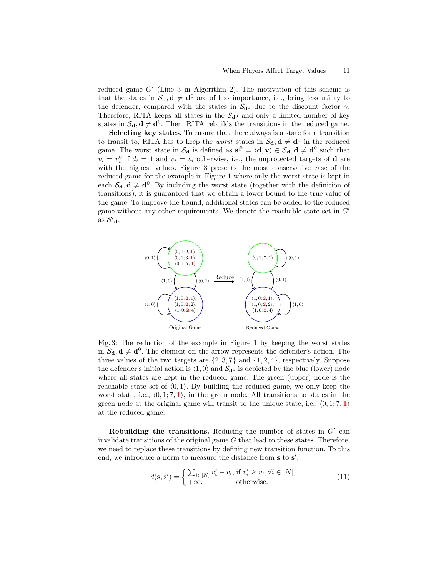reduced game  $G'$  (Line 3 in Algorithm 2). The motivation of this scheme is that the states in  $\mathcal{S}_{d}$ ,  $d \neq d^{0}$  are of less importance, i.e., bring less utility to the defender, compared with the states in  $S_{d0}$  due to the discount factor  $\gamma$ . Therefore, RITA keeps all states in the  $S_{d^0}$  and only a limited number of key states in  $\mathcal{S}_{d}$ ,  $d \neq d^{0}$ . Then, RITA rebuilds the transitions in the reduced game.

Selecting key states. To ensure that there always is a state for a transition to transit to, RITA has to keep the *worst* states in  $\mathcal{S}_{d}$ ,  $d \neq d^{0}$  in the reduced game. The worst state in  $S_d$  is defined as  $s^{\#} = \langle d, v \rangle \in S_d, d \neq d^0$  such that  $v_i = v_i^0$  if  $d_i = 1$  and  $v_i = \hat{v}_i$  otherwise, i.e., the unprotected targets of **d** are with the highest values. Figure 3 presents the most conservative case of the reduced game for the example in Figure 1 where only the worst state is kept in each  $S_{d}$ ,  $d \neq d^{0}$ . By including the worst state (together with the definition of transitions), it is guaranteed that we obtain a lower bound to the true value of the game. To improve the bound, additional states can be added to the reduced game without any other requirements. We denote the reachable state set in  $G'$ as  $S'_d$ .



Fig. 3: The reduction of the example in Figure 1 by keeping the worst states in  $S_d, d \neq d^0$ . The element on the arrow represents the defender's action. The three values of the two targets are  $\{2,3,7\}$  and  $\{1,2,4\}$ , respectively. Suppose the defender's initial action is  $(1, 0)$  and  $S_{d0}$  is depicted by the blue (lower) node where all states are kept in the reduced game. The green (upper) node is the reachable state set of  $(0, 1)$ . By building the reduced game, we only keep the worst state, i.e.,  $\langle 0, 1; 7, 1 \rangle$ , in the green node. All transitions to states in the green node at the original game will transit to the unique state, i.e.,  $(0, 1; 7, 1)$ at the reduced game.

Rebuilding the transitions. Reducing the number of states in  $G'$  can invalidate transitions of the original game  $G$  that lead to these states. Therefore, we need to replace these transitions by defining new transition function. To this end, we introduce a norm to measure the distance from  $s$  to  $s'$ :

$$
d(\mathbf{s}, \mathbf{s}') = \begin{cases} \sum_{i \in [N]} v'_i - v_i, & \text{if } v'_i \ge v_i, \forall i \in [N],\\ +\infty, & \text{otherwise.} \end{cases}
$$
(11)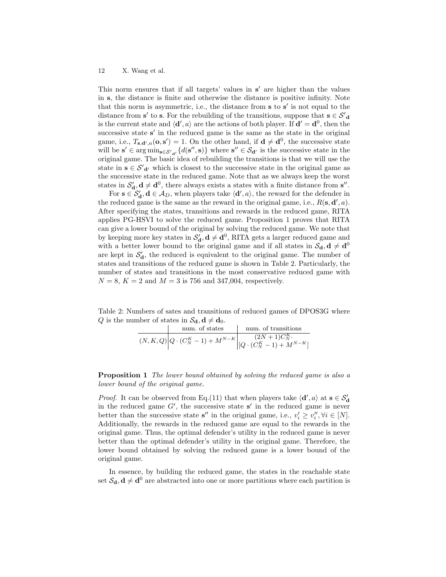This norm ensures that if all targets' values in  $s'$  are higher than the values in s, the distance is finite and otherwise the distance is positive infinity. Note that this norm is asymmetric, i.e., the distance from s to s' is not equal to the distance from  $s'$  to s. For the rebuilding of the transitions, suppose that  $s \in \mathcal{S}'_d$ is the current state and  $\langle \mathbf{d}', a \rangle$  are the actions of both player. If  $\mathbf{d}' = \mathbf{d}^0$ , then the successive state s' in the reduced game is the same as the state in the original game, i.e.,  $T_{s,d',a}(\mathbf{o}, s') = 1$ . On the other hand, if  $\mathbf{d} \neq \mathbf{d}^0$ , the successive state will be  $\mathbf{s}' \in \arg \min_{\mathbf{s} \in \mathcal{S}'_{\mathbf{d}'} } \{ d(\mathbf{s}'', \mathbf{s}) \}$  where  $\mathbf{s}'' \in \mathcal{S}_{\mathbf{d}'}$  is the successive state in the original game. The basic idea of rebuilding the transitions is that we will use the state in  $s \in S'_{d'}$  which is closest to the successive state in the original game as the successive state in the reduced game. Note that as we always keep the worst states in  $\mathcal{S}_{d}$ ,  $d \neq d^{0}$ , there always exists a states with a finite distance from s''.

For  $\mathbf{s} \in \mathcal{S}_{d}^{\prime}, \mathbf{d} \in \mathcal{A}_{D}$ , when players take  $\langle \mathbf{d}^{\prime}, a \rangle$ , the reward for the defender in the reduced game is the same as the reward in the original game, i.e.,  $R(s, d', a)$ . After specifying the states, transitions and rewards in the reduced game, RITA applies PG-HSVI to solve the reduced game. Proposition 1 proves that RITA can give a lower bound of the original by solving the reduced game. We note that by keeping more key states in  $\mathcal{S}'_{d}$ ,  $d \neq d^{0}$ , RITA gets a larger reduced game and with a better lower bound to the original game and if all states in  $\mathcal{S}_{\mathbf{d}}, \mathbf{d} \neq \mathbf{d}^0$ are kept in  $\mathcal{S}'_{d}$ , the reduced is equivalent to the original game. The number of states and transitions of the reduced game is shown in Table 2. Particularly, the number of states and transitions in the most conservative reduced game with  $N = 8, K = 2$  and  $M = 3$  is 756 and 347,004, respectively.

Table 2: Numbers of sates and transitions of reduced games of DPOS3G where Q is the number of states in  $S_{\mathbf{d}}, \mathbf{d} \neq \mathbf{d}_0$ .

| num. of states | num, of transitions                                                                                                                         |
|----------------|---------------------------------------------------------------------------------------------------------------------------------------------|
|                | $\overline{(N,K,Q)}\overline{\left Q\cdot \left(C_{N}^{K}-1\right)+M^{N-K}\right }\overline{\left Q\cdot \left(C_{N}^{K}-1\right)+M^{N-K}}$ |

**Proposition 1** The lower bound obtained by solving the reduced game is also a lower bound of the original game.

*Proof.* It can be observed from Eq.(11) that when players take  $\langle d', a \rangle$  at  $s \in \mathcal{S}'_{d}$ in the reduced game  $G'$ , the successive state  $s'$  in the reduced game is never better than the successive state  $s''$  in the original game, i.e.,  $v'_i \geq v''_i, \forall i \in [N]$ . Additionally, the rewards in the reduced game are equal to the rewards in the original game. Thus, the optimal defender's utility in the reduced game is never better than the optimal defender's utility in the original game. Therefore, the lower bound obtained by solving the reduced game is a lower bound of the original game.

In essence, by building the reduced game, the states in the reachable state set  $S_d$ ,  $d \neq d^0$  are abstracted into one or more partitions where each partition is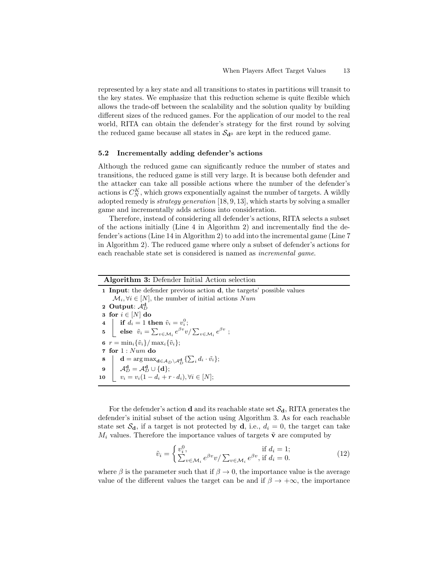represented by a key state and all transitions to states in partitions will transit to the key states. We emphasize that this reduction scheme is quite flexible which allows the trade-off between the scalability and the solution quality by building different sizes of the reduced games. For the application of our model to the real world, RITA can obtain the defender's strategy for the first round by solving the reduced game because all states in  $S_{d0}$  are kept in the reduced game.

#### 5.2 Incrementally adding defender's actions

Although the reduced game can significantly reduce the number of states and transitions, the reduced game is still very large. It is because both defender and the attacker can take all possible actions where the number of the defender's actions is  $C_N^K$ , which grows exponentially against the number of targets. A wildly adopted remedy is strategy generation [18, 9, 13], which starts by solving a smaller game and incrementally adds actions into consideration.

Therefore, instead of considering all defender's actions, RITA selects a subset of the actions initially (Line 4 in Algorithm 2) and incrementally find the defender's actions (Line 14 in Algorithm 2) to add into the incremental game (Line 7 in Algorithm 2). The reduced game where only a subset of defender's actions for each reachable state set is considered is named as incremental game.

Algorithm 3: Defender Initial Action selection 1 Input: the defender previous action d, the targets' possible values  $\mathcal{M}_i, \forall i \in [N]$ , the number of initial actions  $Num$ 2 Output:  $\mathcal{A}_D^{\mathbf{d}}$ 3 for  $i \in [N]$  do 4 | if  $d_i = 1$  then  $\tilde{v}_i = v_i^0$ ; i  $\mathbf{5} \quad \Big[ \quad \mathbf{else} \quad \tilde{v}_i = \sum_{v \in \mathcal{M}_i} e^{\beta v} v / \sum_{v \in \mathcal{M}_i} e^{\beta v} \; ;$ 6  $r = \min_i {\tilde{v}_i} / \max_i {\tilde{v}_i};$ 7 for 1 : Num do 8 d =  $\arg \max_{\mathbf{d} \in \mathcal{A}_D \setminus \mathcal{A}_D^{\mathbf{d}}} \{\sum_i d_i \cdot \tilde{v_i}\};$  $\mathbf{9} \quad \left| \quad \mathcal{A}_{D}^{\mathbf{d}} = \mathcal{A}_{D}^{\mathbf{d}} \cup \{ \mathbf{d} \}; \right.$ 10  $v_i = v_i(1 - d_i + r \cdot d_i), \forall i \in [N];$ 

For the defender's action **d** and its reachable state set  $S_d$ , RITA generates the defender's initial subset of the action using Algorithm 3. As for each reachable state set  $S_d$ , if a target is not protected by d, i.e.,  $d_i = 0$ , the target can take  $M_i$  values. Therefore the importance values of targets  $\tilde{\mathbf{v}}$  are computed by

$$
\tilde{v}_i = \begin{cases}\nv_i^0, & \text{if } d_i = 1; \\
\sum_{v \in \mathcal{M}_i} e^{\beta v} v / \sum_{v \in \mathcal{M}_i} e^{\beta v}, & \text{if } d_i = 0.\n\end{cases} \tag{12}
$$

where  $\beta$  is the parameter such that if  $\beta \to 0$ , the importance value is the average value of the different values the target can be and if  $\beta \to +\infty$ , the importance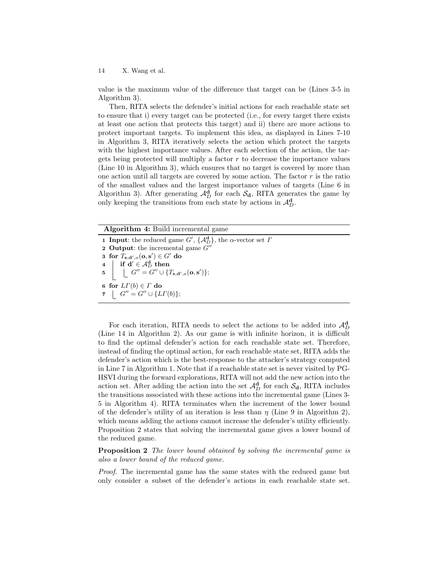value is the maximum value of the difference that target can be (Lines 3-5 in Algorithm 3).

Then, RITA selects the defender's initial actions for each reachable state set to ensure that i) every target can be protected (i.e., for every target there exists at least one action that protects this target) and ii) there are more actions to protect important targets. To implement this idea, as displayed in Lines 7-10 in Algorithm 3, RITA iteratively selects the action which protect the targets with the highest importance values. After each selection of the action, the targets being protected will multiply a factor  $r$  to decrease the importance values (Line 10 in Algorithm 3), which ensures that no target is covered by more than one action until all targets are covered by some action. The factor  $r$  is the ratio of the smallest values and the largest importance values of targets (Line 6 in Algorithm 3). After generating  $\mathcal{A}_{D}^{\mathbf{d}}$  for each  $\mathcal{S}_{\mathbf{d}}$ , RITA generates the game by only keeping the transitions from each state by actions in  $\mathcal{A}_{D}^{\mathbf{d}}$ .

## Algorithm 4: Build incremental game

**1 Input:** the reduced game  $G'$ ,  $\{\mathcal{A}_{D}^{\mathbf{d}}\}$ , the  $\alpha$ -vector set  $\Gamma$ 2 Output: the incremental game  $G''$ 3 for  $T_{\mathbf{s},\mathbf{d}',a}(\mathbf{o},\mathbf{s}') \in G'$  do  $\mathtt{4} \quad | \quad \text{if} \; \mathbf{d}' \in \mathcal{A}_D^\mathbf{d} \; \text{then}$ 5  $G'' = G'' \cup \{T_{s,d',a}(\mathbf{o}, \mathbf{s}')\};$ 6 for  $LT(b) \in \Gamma$  do 7  $\Big| G'' = G'' \cup \{ LT(b) \};$ 

For each iteration, RITA needs to select the actions to be added into  $\mathcal{A}_{D}^{\mathbf{d}}$ (Line 14 in Algorithm 2). As our game is with infinite horizon, it is difficult to find the optimal defender's action for each reachable state set. Therefore, instead of finding the optimal action, for each reachable state set, RITA adds the defender's action which is the best-response to the attacker's strategy computed in Line 7 in Algorithm 1. Note that if a reachable state set is never visited by PG-HSVI during the forward explorations, RITA will not add the new action into the action set. After adding the action into the set  $\mathcal{A}_{D}^{\mathbf{d}}$  for each  $\mathcal{S}_{\mathbf{d}}$ , RITA includes the transitions associated with these actions into the incremental game (Lines 3- 5 in Algorithm 4). RITA terminates when the increment of the lower bound of the defender's utility of an iteration is less than  $\eta$  (Line 9 in Algorithm 2), which means adding the actions cannot increase the defender's utility efficiently. Proposition 2 states that solving the incremental game gives a lower bound of the reduced game.

**Proposition 2** The lower bound obtained by solving the incremental game is also a lower bound of the reduced game.

Proof. The incremental game has the same states with the reduced game but only consider a subset of the defender's actions in each reachable state set.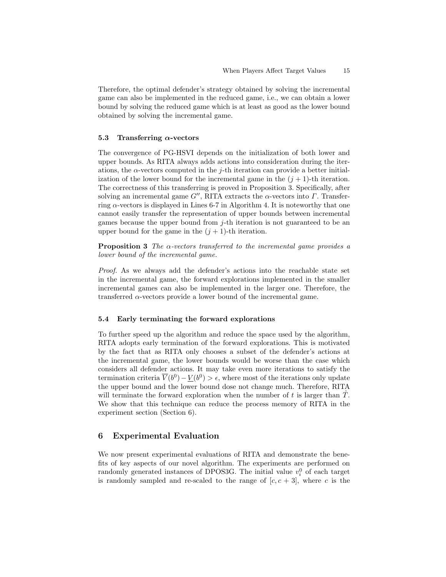Therefore, the optimal defender's strategy obtained by solving the incremental game can also be implemented in the reduced game, i.e., we can obtain a lower bound by solving the reduced game which is at least as good as the lower bound obtained by solving the incremental game.

#### 5.3 Transferring  $\alpha$ -vectors

The convergence of PG-HSVI depends on the initialization of both lower and upper bounds. As RITA always adds actions into consideration during the iterations, the  $\alpha$ -vectors computed in the *j*-th iteration can provide a better initialization of the lower bound for the incremental game in the  $(j + 1)$ -th iteration. The correctness of this transferring is proved in Proposition 3. Specifically, after solving an incremental game  $G''$ , RITA extracts the  $\alpha$ -vectors into  $\Gamma$ . Transferring  $\alpha$ -vectors is displayed in Lines 6-7 in Algorithm 4. It is noteworthy that one cannot easily transfer the representation of upper bounds between incremental games because the upper bound from  $j$ -th iteration is not guaranteed to be an upper bound for the game in the  $(j + 1)$ -th iteration.

**Proposition 3** The  $\alpha$ -vectors transferred to the incremental game provides a lower bound of the incremental game.

Proof. As we always add the defender's actions into the reachable state set in the incremental game, the forward explorations implemented in the smaller incremental games can also be implemented in the larger one. Therefore, the transferred  $\alpha$ -vectors provide a lower bound of the incremental game.

## 5.4 Early terminating the forward explorations

To further speed up the algorithm and reduce the space used by the algorithm, RITA adopts early termination of the forward explorations. This is motivated by the fact that as RITA only chooses a subset of the defender's actions at the incremental game, the lower bounds would be worse than the case which considers all defender actions. It may take even more iterations to satisfy the termination criteria  $\overline{V}(b^0) - \underline{V}(b^0) > \epsilon$ , where most of the iterations only update the upper bound and the lower bound dose not change much. Therefore, RITA will terminate the forward exploration when the number of t is larger than  $\tilde{T}$ . We show that this technique can reduce the process memory of RITA in the experiment section (Section 6).

# 6 Experimental Evaluation

We now present experimental evaluations of RITA and demonstrate the benefits of key aspects of our novel algorithm. The experiments are performed on randomly generated instances of DPOS3G. The initial value  $v_i^0$  of each target is randomly sampled and re-scaled to the range of  $[c, c + 3]$ , where c is the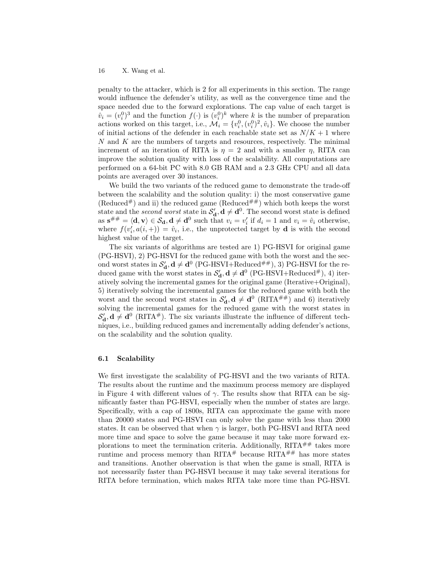penalty to the attacker, which is 2 for all experiments in this section. The range would influence the defender's utility, as well as the convergence time and the space needed due to the forward explorations. The cap value of each target is  $\hat{v}_i = (v_i^0)^3$  and the function  $f(\cdot)$  is  $(v_i^0)^k$  where k is the number of preparation actions worked on this target, i.e.,  $\mathcal{M}_i = \{v_i^0, (v_i^0)^2, \hat{v}_i\}$ . We choose the number of initial actions of the defender in each reachable state set as  $N/K + 1$  where N and K are the numbers of targets and resources, respectively. The minimal increment of an iteration of RITA is  $\eta = 2$  and with a smaller  $\eta$ , RITA can improve the solution quality with loss of the scalability. All computations are performed on a 64-bit PC with 8.0 GB RAM and a 2.3 GHz CPU and all data points are averaged over 30 instances.

We build the two variants of the reduced game to demonstrate the trade-off between the scalability and the solution quality: i) the most conservative game (Reduced<sup>#</sup>) and ii) the reduced game (Reduced<sup>##</sup>) which both keeps the worst state and the *second worst* state in  $\mathcal{S}'_{d}$ ,  $d \neq d^{0}$ . The second worst state is defined as  $\mathbf{s}^{\# \#} = \langle \mathbf{d}, \mathbf{v} \rangle \in \mathcal{S}_{\mathbf{d}}, \mathbf{d} \neq \mathbf{d}^0$  such that  $v_i = v'_i$  if  $d_i = 1$  and  $v_i = \hat{v}_i$  otherwise, where  $f(v'_i, a(i, +)) = \hat{v}_i$ , i.e., the unprotected target by **d** is with the second highest value of the target.

The six variants of algorithms are tested are 1) PG-HSVI for original game (PG-HSVI), 2) PG-HSVI for the reduced game with both the worst and the second worst states in  $\mathcal{S}_{d}$ ,  $d \neq d^{0}$  (PG-HSVI+Reduced<sup>##</sup>), 3) PG-HSVI for the reduced game with the worst states in  $\mathcal{S}'_{d}$ ,  $d \neq d^{0}$  (PG-HSVI+Reduced<sup>#</sup>), 4) iteratively solving the incremental games for the original game (Iterative+Original), 5) iteratively solving the incremental games for the reduced game with both the worst and the second worst states in  $\mathcal{S}_{d}^{\prime}, d \neq d^{0}$  (RITA<sup>##</sup>) and 6) iteratively solving the incremental games for the reduced game with the worst states in  $\mathcal{S}_{d}^{\prime}, d \neq d^{\mathbf{0}}$  (RITA<sup>#</sup>). The six variants illustrate the influence of different techniques, i.e., building reduced games and incrementally adding defender's actions, on the scalability and the solution quality.

#### 6.1 Scalability

We first investigate the scalability of PG-HSVI and the two variants of RITA. The results about the runtime and the maximum process memory are displayed in Figure 4 with different values of  $\gamma$ . The results show that RITA can be significantly faster than PG-HSVI, especially when the number of states are large. Specifically, with a cap of 1800s, RITA can approximate the game with more than 20000 states and PG-HSVI can only solve the game with less than 2000 states. It can be observed that when  $\gamma$  is larger, both PG-HSVI and RITA need more time and space to solve the game because it may take more forward explorations to meet the termination criteria. Additionally,  $RITA^{\# \#}$  takes more runtime and process memory than  $RITA^{\#}$  because  $RITA^{\#}$  has more states and transitions. Another observation is that when the game is small, RITA is not necessarily faster than PG-HSVI because it may take several iterations for RITA before termination, which makes RITA take more time than PG-HSVI.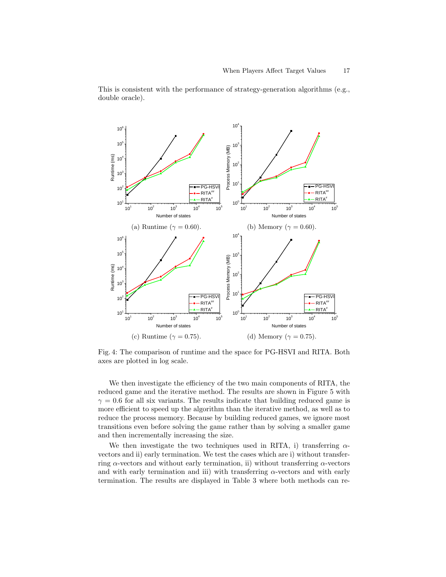

This is consistent with the performance of strategy-generation algorithms (e.g., double oracle).

Fig. 4: The comparison of runtime and the space for PG-HSVI and RITA. Both axes are plotted in log scale.

We then investigate the efficiency of the two main components of RITA, the reduced game and the iterative method. The results are shown in Figure 5 with  $\gamma = 0.6$  for all six variants. The results indicate that building reduced game is more efficient to speed up the algorithm than the iterative method, as well as to reduce the process memory. Because by building reduced games, we ignore most transitions even before solving the game rather than by solving a smaller game and then incrementally increasing the size.

We then investigate the two techniques used in RITA, i) transferring  $\alpha$ vectors and ii) early termination. We test the cases which are i) without transferring  $\alpha$ -vectors and without early termination, ii) without transferring  $\alpha$ -vectors and with early termination and iii) with transferring  $\alpha$ -vectors and with early termination. The results are displayed in Table 3 where both methods can re-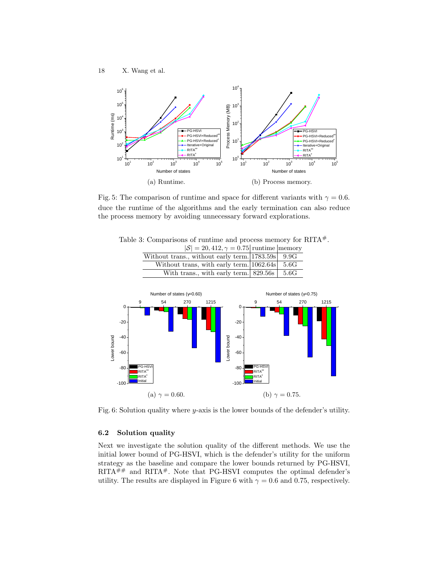

Fig. 5: The comparison of runtime and space for different variants with  $\gamma = 0.6$ . duce the runtime of the algorithms and the early termination can also reduce the process memory by avoiding unnecessary forward explorations.



Fig. 6: Solution quality where y-axis is the lower bounds of the defender's utility.

# 6.2 Solution quality

Next we investigate the solution quality of the different methods. We use the initial lower bound of PG-HSVI, which is the defender's utility for the uniform strategy as the baseline and compare the lower bounds returned by PG-HSVI,  $RITA^{\##}$  and  $RITA^{\#}$ . Note that PG-HSVI computes the optimal defender's utility. The results are displayed in Figure 6 with  $\gamma = 0.6$  and 0.75, respectively.

18 X. Wang et al.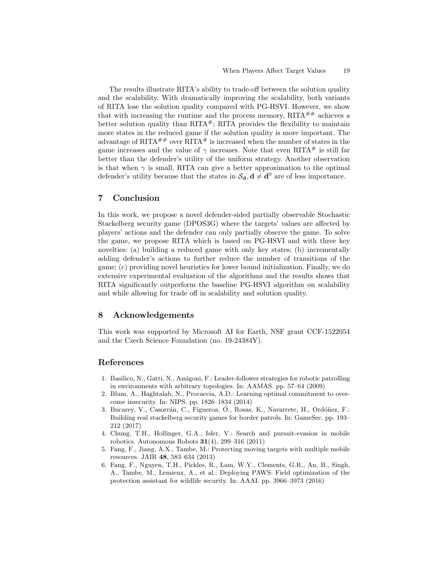The results illustrate RITA's ability to trade-off between the solution quality and the scalability. With dramatically improving the scalability, both variants of RITA lose the solution quality compared with PG-HSVI. However, we show that with increasing the runtime and the process memory,  $RITA^{\##}$  achieves a better solution quality than  $RITA^{\#}$ ;  $RITA$  provides the flexibility to maintain more states in the reduced game if the solution quality is more important. The advantage of RITA## over RITA# is increased when the number of states in the game increases and the value of  $\gamma$  increases. Note that even RITA# is still far better than the defender's utility of the uniform strategy. Another observation is that when  $\gamma$  is small, RITA can give a better approximation to the optimal defender's utility because that the states in  $\mathcal{S}_{d}$ ,  $d \neq d^{0}$  are of less importance.

## 7 Conclusion

In this work, we propose a novel defender-sided partially observable Stochastic Stackelberg security game (DPOS3G) where the targets' values are affected by players' actions and the defender can only partially observe the game. To solve the game, we propose RITA which is based on PG-HSVI and with three key novelties: (a) building a reduced game with only key states; (b) incrementally adding defender's actions to further reduce the number of transitions of the game; (c) providing novel heuristics for lower bound initialization. Finally, we do extensive experimental evaluation of the algorithms and the results shows that RITA significantly outperform the baseline PG-HSVI algorithm on scalability and while allowing for trade off in scalability and solution quality.

## 8 Acknowledgements

This work was supported by Microsoft AI for Earth, NSF grant CCF-1522054 and the Czech Science Foundation (no. 19-24384Y).

## References

- 1. Basilico, N., Gatti, N., Amigoni, F.: Leader-follower strategies for robotic patrolling in environments with arbitrary topologies. In: AAMAS. pp. 57–64 (2009)
- 2. Blum, A., Haghtalab, N., Procaccia, A.D.: Learning optimal commitment to overcome insecurity. In: NIPS. pp. 1826–1834 (2014)
- 3. Bucarey, V., Casorrán, C., Figueroa, Ó., Rosas, K., Navarrete, H., Ordóñez, F.: Building real stackelberg security games for border patrols. In: GameSec. pp. 193– 212 (2017)
- 4. Chung, T.H., Hollinger, G.A., Isler, V.: Search and pursuit-evasion in mobile robotics. Autonomous Robots  $31(4)$ , 299–316 (2011)
- 5. Fang, F., Jiang, A.X., Tambe, M.: Protecting moving targets with multiple mobile resources. JAIR 48, 583–634 (2013)
- 6. Fang, F., Nguyen, T.H., Pickles, R., Lam, W.Y., Clements, G.R., An, B., Singh, A., Tambe, M., Lemieux, A., et al.: Deploying PAWS: Field optimization of the protection assistant for wildlife security. In: AAAI. pp. 3966–3973 (2016)